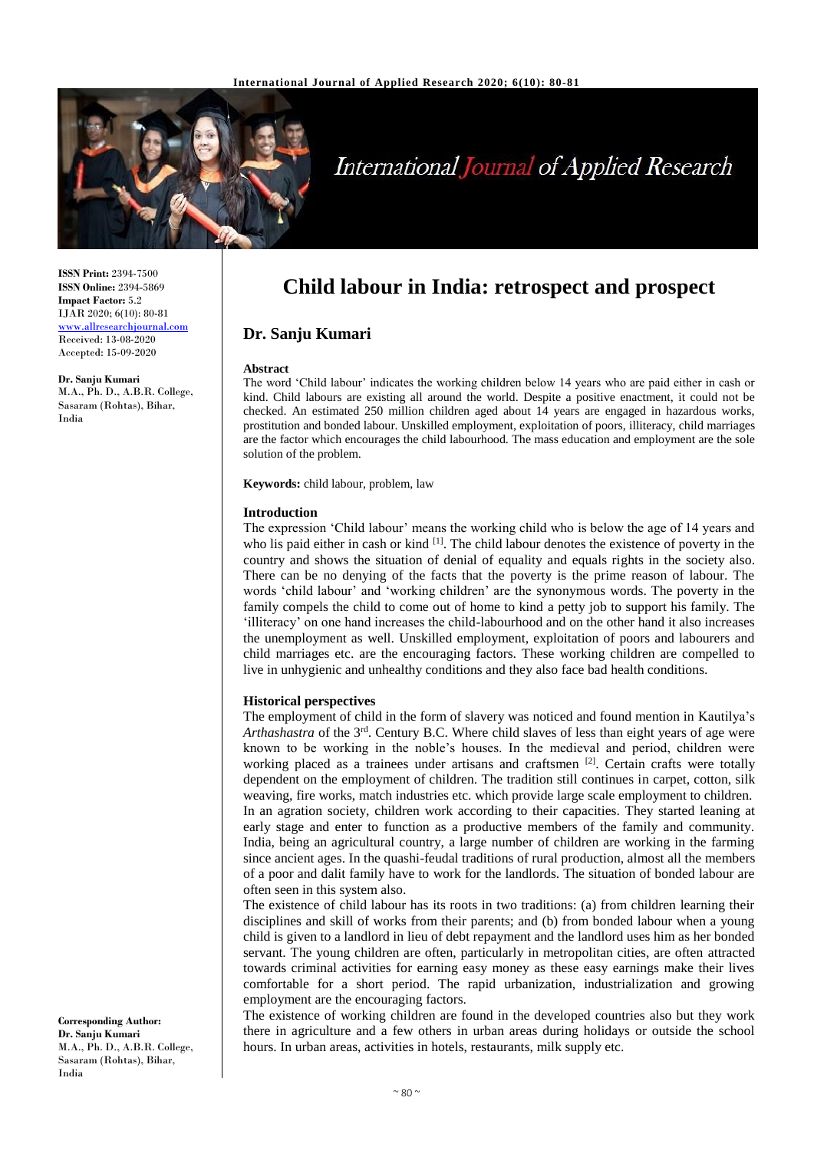

# **International Journal of Applied Research**

**ISSN Print:** 2394-7500 **ISSN Online:** 2394-5869 **Impact Factor:** 5.2 IJAR 2020; 6(10): 80-81 <www.allresearchjournal.com> Received: 13-08-2020 Accepted: 15-09-2020

**Dr. Sanju Kumari** M.A., Ph. D., A.B.R. College, Sasaram (Rohtas), Bihar, India

# **Child labour in India: retrospect and prospect**

# **Dr. Sanju Kumari**

#### **Abstract**

The word 'Child labour' indicates the working children below 14 years who are paid either in cash or kind. Child labours are existing all around the world. Despite a positive enactment, it could not be checked. An estimated 250 million children aged about 14 years are engaged in hazardous works, prostitution and bonded labour. Unskilled employment, exploitation of poors, illiteracy, child marriages are the factor which encourages the child labourhood. The mass education and employment are the sole solution of the problem.

**Keywords:** child labour, problem, law

#### **Introduction**

The expression 'Child labour' means the working child who is below the age of 14 years and who lis paid either in cash or kind [1]. The child labour denotes the existence of poverty in the country and shows the situation of denial of equality and equals rights in the society also. There can be no denying of the facts that the poverty is the prime reason of labour. The words 'child labour' and 'working children' are the synonymous words. The poverty in the family compels the child to come out of home to kind a petty job to support his family. The 'illiteracy' on one hand increases the child-labourhood and on the other hand it also increases the unemployment as well. Unskilled employment, exploitation of poors and labourers and child marriages etc. are the encouraging factors. These working children are compelled to live in unhygienic and unhealthy conditions and they also face bad health conditions.

#### **Historical perspectives**

The employment of child in the form of slavery was noticed and found mention in Kautilya's Arthashastra of the 3<sup>rd</sup>. Century B.C. Where child slaves of less than eight years of age were known to be working in the noble's houses. In the medieval and period, children were working placed as a trainees under artisans and craftsmen  $[2]$ . Certain crafts were totally dependent on the employment of children. The tradition still continues in carpet, cotton, silk weaving, fire works, match industries etc. which provide large scale employment to children. In an agration society, children work according to their capacities. They started leaning at early stage and enter to function as a productive members of the family and community. India, being an agricultural country, a large number of children are working in the farming since ancient ages. In the quashi-feudal traditions of rural production, almost all the members of a poor and dalit family have to work for the landlords. The situation of bonded labour are often seen in this system also.

The existence of child labour has its roots in two traditions: (a) from children learning their disciplines and skill of works from their parents; and (b) from bonded labour when a young child is given to a landlord in lieu of debt repayment and the landlord uses him as her bonded servant. The young children are often, particularly in metropolitan cities, are often attracted towards criminal activities for earning easy money as these easy earnings make their lives comfortable for a short period. The rapid urbanization, industrialization and growing employment are the encouraging factors.

The existence of working children are found in the developed countries also but they work there in agriculture and a few others in urban areas during holidays or outside the school hours. In urban areas, activities in hotels, restaurants, milk supply etc.

**Corresponding Author: Dr. Sanju Kumari** M.A., Ph. D., A.B.R. College, Sasaram (Rohtas), Bihar, India